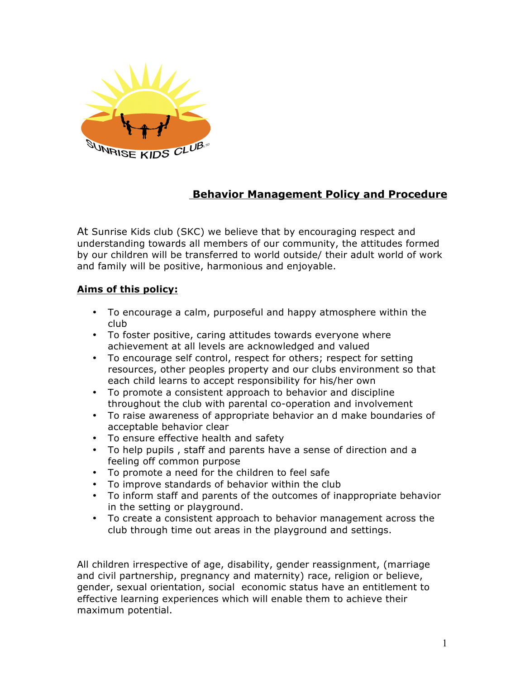

# **Behavior Management Policy and Procedure**

At Sunrise Kids club (SKC) we believe that by encouraging respect and understanding towards all members of our community, the attitudes formed by our children will be transferred to world outside/ their adult world of work and family will be positive, harmonious and enjoyable.

## **Aims of this policy:**

- To encourage a calm, purposeful and happy atmosphere within the club
- To foster positive, caring attitudes towards everyone where achievement at all levels are acknowledged and valued
- To encourage self control, respect for others; respect for setting resources, other peoples property and our clubs environment so that each child learns to accept responsibility for his/her own
- To promote a consistent approach to behavior and discipline throughout the club with parental co-operation and involvement
- To raise awareness of appropriate behavior an d make boundaries of acceptable behavior clear
- To ensure effective health and safety
- To help pupils , staff and parents have a sense of direction and a feeling off common purpose
- To promote a need for the children to feel safe
- To improve standards of behavior within the club
- To inform staff and parents of the outcomes of inappropriate behavior in the setting or playground.
- To create a consistent approach to behavior management across the club through time out areas in the playground and settings.

All children irrespective of age, disability, gender reassignment, (marriage and civil partnership, pregnancy and maternity) race, religion or believe, gender, sexual orientation, social economic status have an entitlement to effective learning experiences which will enable them to achieve their maximum potential.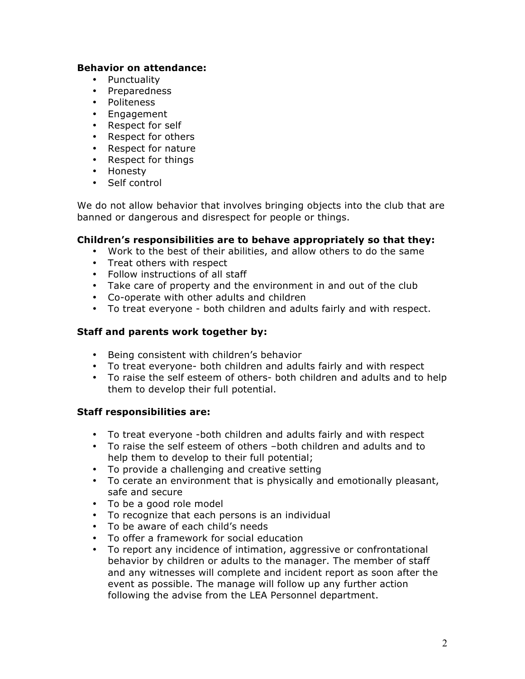#### **Behavior on attendance:**

- Punctuality
- Preparedness
- Politeness
- Engagement
- Respect for self
- Respect for others
- Respect for nature
- Respect for things
- Honesty
- Self control

We do not allow behavior that involves bringing objects into the club that are banned or dangerous and disrespect for people or things.

#### **Children's responsibilities are to behave appropriately so that they:**

- Work to the best of their abilities, and allow others to do the same
- Treat others with respect
- Follow instructions of all staff
- Take care of property and the environment in and out of the club
- Co-operate with other adults and children
- To treat everyone both children and adults fairly and with respect.

## **Staff and parents work together by:**

- Being consistent with children's behavior
- To treat everyone- both children and adults fairly and with respect
- To raise the self esteem of others- both children and adults and to help them to develop their full potential.

## **Staff responsibilities are:**

- To treat everyone -both children and adults fairly and with respect
- To raise the self esteem of others –both children and adults and to help them to develop to their full potential;
- To provide a challenging and creative setting
- To cerate an environment that is physically and emotionally pleasant, safe and secure
- To be a good role model
- To recognize that each persons is an individual
- To be aware of each child's needs
- To offer a framework for social education
- To report any incidence of intimation, aggressive or confrontational behavior by children or adults to the manager. The member of staff and any witnesses will complete and incident report as soon after the event as possible. The manage will follow up any further action following the advise from the LEA Personnel department.